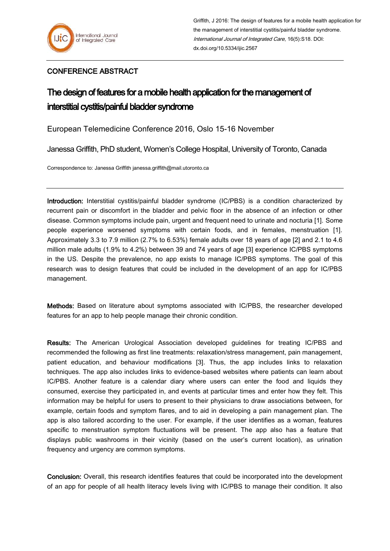## CONFERENCE ABSTRACT

## The design of features for a mobile health application for the management of interstitial cystitis/painful bladder syndrome

European Telemedicine Conference 2016, Oslo 15-16 November

Janessa Griffith, PhD student, Women's College Hospital, University of Toronto, Canada

Correspondence to: Janessa Griffith janessa.griffith@mail.utoronto.ca

Introduction: Interstitial cystitis/painful bladder syndrome (IC/PBS) is a condition characterized by recurrent pain or discomfort in the bladder and pelvic floor in the absence of an infection or other disease. Common symptoms include pain, urgent and frequent need to urinate and nocturia [1]. Some people experience worsened symptoms with certain foods, and in females, menstruation [1]. Approximately 3.3 to 7.9 million (2.7% to 6.53%) female adults over 18 years of age [2] and 2.1 to 4.6 million male adults (1.9% to 4.2%) between 39 and 74 years of age [3] experience IC/PBS symptoms in the US. Despite the prevalence, no app exists to manage IC/PBS symptoms. The goal of this research was to design features that could be included in the development of an app for IC/PBS management.

Methods: Based on literature about symptoms associated with IC/PBS, the researcher developed features for an app to help people manage their chronic condition.

Results: The American Urological Association developed guidelines for treating IC/PBS and recommended the following as first line treatments: relaxation/stress management, pain management, patient education, and behaviour modifications [3]. Thus, the app includes links to relaxation techniques. The app also includes links to evidence-based websites where patients can learn about IC/PBS. Another feature is a calendar diary where users can enter the food and liquids they consumed, exercise they participated in, and events at particular times and enter how they felt. This information may be helpful for users to present to their physicians to draw associations between, for example, certain foods and symptom flares, and to aid in developing a pain management plan. The app is also tailored according to the user. For example, if the user identifies as a woman, features specific to menstruation symptom fluctuations will be present. The app also has a feature that displays public washrooms in their vicinity (based on the user's current location), as urination frequency and urgency are common symptoms.

Conclusion: Overall, this research identifies features that could be incorporated into the development of an app for people of all health literacy levels living with IC/PBS to manage their condition. It also